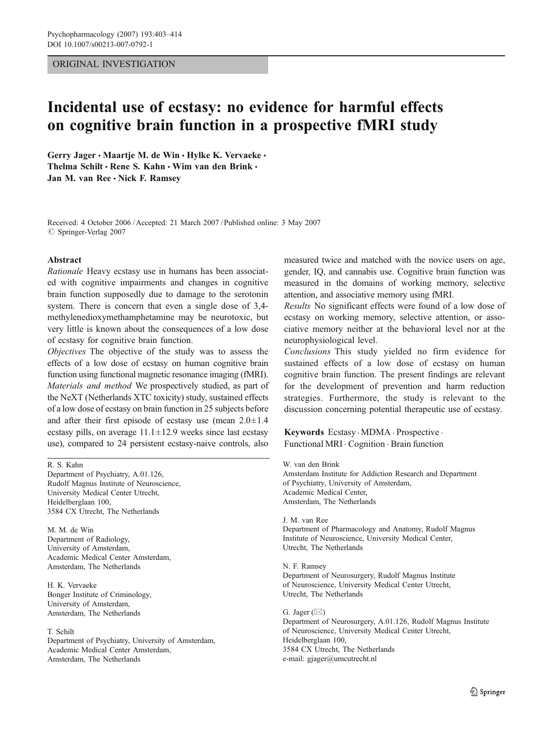## ORIGINAL INVESTIGATION

# Incidental use of ecstasy: no evidence for harmful effects on cognitive brain function in a prospective fMRI study

Gerry Jager • Maartje M. de Win • Hylke K. Vervaeke • Thelma Schilt · Rene S. Kahn · Wim van den Brink · Jan M. van Ree  $\cdot$  Nick F. Ramsey

Received: 4 October 2006 /Accepted: 21 March 2007 / Published online: 3 May 2007  $\oslash$  Springer-Verlag 2007

## Abstract

Rationale Heavy ecstasy use in humans has been associated with cognitive impairments and changes in cognitive brain function supposedly due to damage to the serotonin system. There is concern that even a single dose of 3,4 methylenedioxymethamphetamine may be neurotoxic, but very little is known about the consequences of a low dose of ecstasy for cognitive brain function.

Objectives The objective of the study was to assess the effects of a low dose of ecstasy on human cognitive brain function using functional magnetic resonance imaging (fMRI). Materials and method We prospectively studied, as part of the NeXT (Netherlands XTC toxicity) study, sustained effects of a low dose of ecstasy on brain function in 25 subjects before and after their first episode of ecstasy use (mean  $2.0 \pm 1.4$ ecstasy pills, on average  $11.1 \pm 12.9$  weeks since last ecstasy use), compared to 24 persistent ecstasy-naive controls, also

R. S. Kahn

Department of Psychiatry, A.01.126, Rudolf Magnus Institute of Neuroscience, University Medical Center Utrecht, Heidelberglaan 100, 3584 CX Utrecht, The Netherlands

M. M. de Win Department of Radiology, University of Amsterdam, Academic Medical Center Amsterdam, Amsterdam, The Netherlands

H. K. Vervaeke Bonger Institute of Criminology, University of Amsterdam, Amsterdam, The Netherlands

#### T. Schilt

Department of Psychiatry, University of Amsterdam, Academic Medical Center Amsterdam, Amsterdam, The Netherlands

measured twice and matched with the novice users on age, gender, IQ, and cannabis use. Cognitive brain function was measured in the domains of working memory, selective attention, and associative memory using fMRI.

Results No significant effects were found of a low dose of ecstasy on working memory, selective attention, or associative memory neither at the behavioral level nor at the neurophysiological level.

Conclusions This study yielded no firm evidence for sustained effects of a low dose of ecstasy on human cognitive brain function. The present findings are relevant for the development of prevention and harm reduction strategies. Furthermore, the study is relevant to the discussion concerning potential therapeutic use of ecstasy.

Keywords Ecstasy . MDMA . Prospective . Functional MRI . Cognition . Brain function

W. van den Brink Amsterdam Institute for Addiction Research and Department of Psychiatry, University of Amsterdam, Academic Medical Center, Amsterdam, The Netherlands

J. M. van Ree

Department of Pharmacology and Anatomy, Rudolf Magnus Institute of Neuroscience, University Medical Center, Utrecht, The Netherlands

N. F. Ramsey Department of Neurosurgery, Rudolf Magnus Institute of Neuroscience, University Medical Center Utrecht, Utrecht, The Netherlands

G. Jager (*\**)

Department of Neurosurgery, A.01.126, Rudolf Magnus Institute of Neuroscience, University Medical Center Utrecht, Heidelberglaan 100, 3584 CX Utrecht, The Netherlands e-mail: gjager@umcutrecht.nl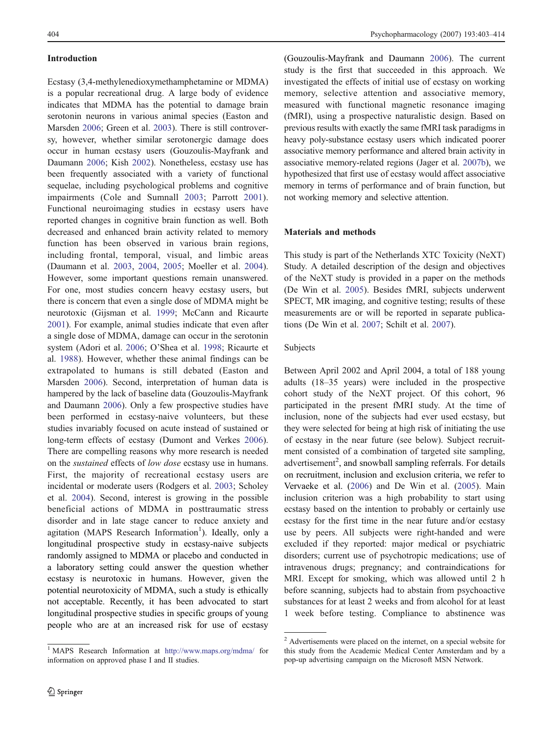### <span id="page-1-0"></span>Introduction

Ecstasy (3,4-methylenedioxymethamphetamine or MDMA) is a popular recreational drug. A large body of evidence indicates that MDMA has the potential to damage brain serotonin neurons in various animal species (Easton and Marsden [2006;](#page-10-0) Green et al. [2003](#page-11-0)). There is still controversy, however, whether similar serotonergic damage does occur in human ecstasy users (Gouzoulis-Mayfrank and Daumann [2006](#page-11-0); Kish [2002](#page-11-0)). Nonetheless, ecstasy use has been frequently associated with a variety of functional sequelae, including psychological problems and cognitive impairments (Cole and Sumnall [2003](#page-10-0); Parrott [2001](#page-11-0)). Functional neuroimaging studies in ecstasy users have reported changes in cognitive brain function as well. Both decreased and enhanced brain activity related to memory function has been observed in various brain regions, including frontal, temporal, visual, and limbic areas (Daumann et al. [2003](#page-10-0), [2004](#page-10-0), [2005;](#page-10-0) Moeller et al. [2004](#page-11-0)). However, some important questions remain unanswered. For one, most studies concern heavy ecstasy users, but there is concern that even a single dose of MDMA might be neurotoxic (Gijsman et al. [1999](#page-11-0); McCann and Ricaurte [2001\)](#page-11-0). For example, animal studies indicate that even after a single dose of MDMA, damage can occur in the serotonin system (Adori et al. [2006;](#page-10-0) O'Shea et al. [1998;](#page-11-0) Ricaurte et al. [1988](#page-11-0)). However, whether these animal findings can be extrapolated to humans is still debated (Easton and Marsden [2006\)](#page-10-0). Second, interpretation of human data is hampered by the lack of baseline data (Gouzoulis-Mayfrank and Daumann [2006](#page-11-0)). Only a few prospective studies have been performed in ecstasy-naive volunteers, but these studies invariably focused on acute instead of sustained or long-term effects of ecstasy (Dumont and Verkes [2006](#page-10-0)). There are compelling reasons why more research is needed on the sustained effects of low dose ecstasy use in humans. First, the majority of recreational ecstasy users are incidental or moderate users (Rodgers et al. [2003](#page-11-0); Scholey et al. [2004](#page-11-0)). Second, interest is growing in the possible beneficial actions of MDMA in posttraumatic stress disorder and in late stage cancer to reduce anxiety and agitation (MAPS Research Information<sup>1</sup>). Ideally, only a longitudinal prospective study in ecstasy-naive subjects randomly assigned to MDMA or placebo and conducted in a laboratory setting could answer the question whether ecstasy is neurotoxic in humans. However, given the potential neurotoxicity of MDMA, such a study is ethically not acceptable. Recently, it has been advocated to start longitudinal prospective studies in specific groups of young people who are at an increased risk for use of ecstasy

(Gouzoulis-Mayfrank and Daumann [2006](#page-11-0)). The current study is the first that succeeded in this approach. We investigated the effects of initial use of ecstasy on working memory, selective attention and associative memory, measured with functional magnetic resonance imaging (fMRI), using a prospective naturalistic design. Based on previous results with exactly the same fMRI task paradigms in heavy poly-substance ecstasy users which indicated poorer associative memory performance and altered brain activity in associative memory-related regions (Jager et al. [2007b](#page-11-0)), we hypothesized that first use of ecstasy would affect associative memory in terms of performance and of brain function, but not working memory and selective attention.

## Materials and methods

This study is part of the Netherlands XTC Toxicity (NeXT) Study. A detailed description of the design and objectives of the NeXT study is provided in a paper on the methods (De Win et al. [2005\)](#page-10-0). Besides fMRI, subjects underwent SPECT, MR imaging, and cognitive testing; results of these measurements are or will be reported in separate publications (De Win et al. [2007;](#page-10-0) Schilt et al. [2007](#page-11-0)).

## Subjects

Between April 2002 and April 2004, a total of 188 young adults (18–35 years) were included in the prospective cohort study of the NeXT project. Of this cohort, 96 participated in the present fMRI study. At the time of inclusion, none of the subjects had ever used ecstasy, but they were selected for being at high risk of initiating the use of ecstasy in the near future (see below). Subject recruitment consisted of a combination of targeted site sampling, advertisement<sup>2</sup>, and snowball sampling referrals. For details on recruitment, inclusion and exclusion criteria, we refer to Vervaeke et al. ([2006\)](#page-11-0) and De Win et al. ([2005\)](#page-10-0). Main inclusion criterion was a high probability to start using ecstasy based on the intention to probably or certainly use ecstasy for the first time in the near future and/or ecstasy use by peers. All subjects were right-handed and were excluded if they reported: major medical or psychiatric disorders; current use of psychotropic medications; use of intravenous drugs; pregnancy; and contraindications for MRI. Except for smoking, which was allowed until 2 h before scanning, subjects had to abstain from psychoactive substances for at least 2 weeks and from alcohol for at least 1 week before testing. Compliance to abstinence was

<sup>1</sup> MAPS Research Information at <http://www.maps.org/mdma/> for information on approved phase I and II studies.

<sup>&</sup>lt;sup>2</sup> Advertisements were placed on the internet, on a special website for this study from the Academic Medical Center Amsterdam and by a pop-up advertising campaign on the Microsoft MSN Network.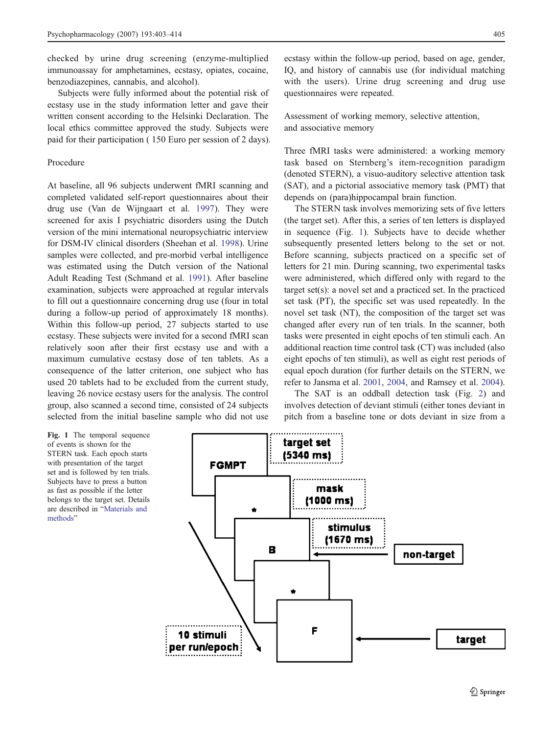checked by urine drug screening (enzyme-multiplied immunoassay for amphetamines, ecstasy, opiates, cocaine, benzodiazepines, cannabis, and alcohol).

Subjects were fully informed about the potential risk of ecstasy use in the study information letter and gave their written consent according to the Helsinki Declaration. The local ethics committee approved the study. Subjects were paid for their participation ( 150 Euro per session of 2 days).

## Procedure

At baseline, all 96 subjects underwent fMRI scanning and completed validated self-report questionnaires about their drug use (Van de Wijngaart et al. [1997](#page-11-0)). They were screened for axis I psychiatric disorders using the Dutch version of the mini international neuropsychiatric interview for DSM-IV clinical disorders (Sheehan et al. [1998\)](#page-11-0). Urine samples were collected, and pre-morbid verbal intelligence was estimated using the Dutch version of the National Adult Reading Test (Schmand et al. [1991\)](#page-11-0). After baseline examination, subjects were approached at regular intervals to fill out a questionnaire concerning drug use (four in total during a follow-up period of approximately 18 months). Within this follow-up period, 27 subjects started to use ecstasy. These subjects were invited for a second fMRI scan relatively soon after their first ecstasy use and with a maximum cumulative ecstasy dose of ten tablets. As a consequence of the latter criterion, one subject who has used 20 tablets had to be excluded from the current study, leaving 26 novice ecstasy users for the analysis. The control group, also scanned a second time, consisted of 24 subjects selected from the initial baseline sample who did not use

Fig. 1 The temporal sequence of events is shown for the STERN task. Each epoch starts with presentation of the target set and is followed by ten trials. Subjects have to press a button as fast as possible if the letter belongs to the target set. Details are described in "[Materials and](#page-1-0) [methods](#page-1-0)"



ecstasy within the follow-up period, based on age, gender, IQ, and history of cannabis use (for individual matching with the users). Urine drug screening and drug use questionnaires were repeated.

Assessment of working memory, selective attention, and associative memory

Three fMRI tasks were administered: a working memory task based on Sternberg's item-recognition paradigm (denoted STERN), a visuo-auditory selective attention task (SAT), and a pictorial associative memory task (PMT) that depends on (para)hippocampal brain function.

The STERN task involves memorizing sets of five letters (the target set). After this, a series of ten letters is displayed in sequence (Fig. 1). Subjects have to decide whether subsequently presented letters belong to the set or not. Before scanning, subjects practiced on a specific set of letters for 21 min. During scanning, two experimental tasks were administered, which differed only with regard to the target set(s): a novel set and a practiced set. In the practiced set task (PT), the specific set was used repeatedly. In the novel set task (NT), the composition of the target set was changed after every run of ten trials. In the scanner, both tasks were presented in eight epochs of ten stimuli each. An additional reaction time control task (CT) was included (also eight epochs of ten stimuli), as well as eight rest periods of equal epoch duration (for further details on the STERN, we refer to Jansma et al. [2001](#page-11-0), [2004,](#page-11-0) and Ramsey et al. [2004\)](#page-11-0).

The SAT is an oddball detection task (Fig. [2\)](#page-3-0) and involves detection of deviant stimuli (either tones deviant in pitch from a baseline tone or dots deviant in size from a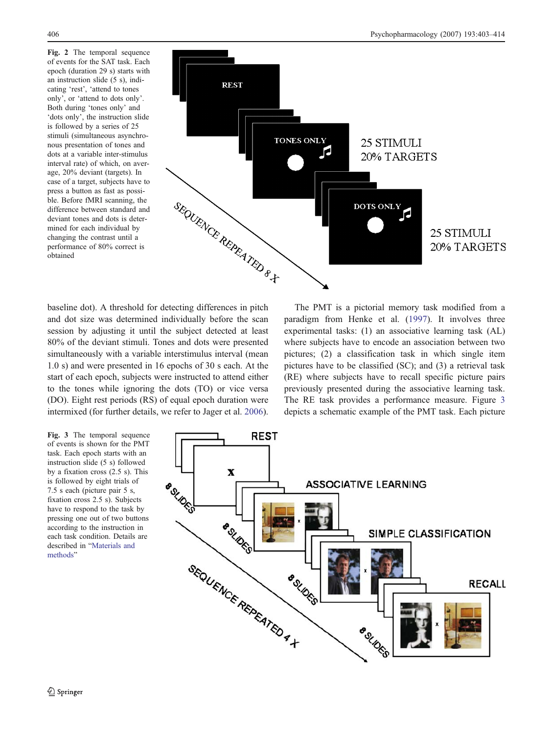<span id="page-3-0"></span>Fig. 2 The temporal sequence of events for the SAT task. Each epoch (duration 29 s) starts with an instruction slide (5 s), indicating 'rest', 'attend to tones only', or 'attend to dots only'. Both during 'tones only' and 'dots only', the instruction slide is followed by a series of 25 stimuli (simultaneous asynchronous presentation of tones and dots at a variable inter-stimulus interval rate) of which, on average, 20% deviant (targets). In case of a target, subjects have to press a button as fast as possible. Before fMRI scanning, the difference between standard and deviant tones and dots is determined for each individual by changing the contrast until a performance of 80% correct is obtained



baseline dot). A threshold for detecting differences in pitch and dot size was determined individually before the scan session by adjusting it until the subject detected at least 80% of the deviant stimuli. Tones and dots were presented simultaneously with a variable interstimulus interval (mean 1.0 s) and were presented in 16 epochs of 30 s each. At the start of each epoch, subjects were instructed to attend either to the tones while ignoring the dots (TO) or vice versa (DO). Eight rest periods (RS) of equal epoch duration were intermixed (for further details, we refer to Jager et al. [2006](#page-11-0)).

The PMT is a pictorial memory task modified from a paradigm from Henke et al. [\(1997](#page-11-0)). It involves three experimental tasks: (1) an associative learning task (AL) where subjects have to encode an association between two pictures; (2) a classification task in which single item pictures have to be classified (SC); and (3) a retrieval task (RE) where subjects have to recall specific picture pairs previously presented during the associative learning task. The RE task provides a performance measure. Figure 3 depicts a schematic example of the PMT task. Each picture

Fig. 3 The temporal sequence of events is shown for the PMT task. Each epoch starts with an instruction slide (5 s) followed by a fixation cross (2.5 s). This is followed by eight trials of 7.5 s each (picture pair 5 s, fixation cross 2.5 s). Subjects have to respond to the task by pressing one out of two buttons according to the instruction in each task condition. Details are described in "[Materials and](#page-1-0) [methods](#page-1-0)"

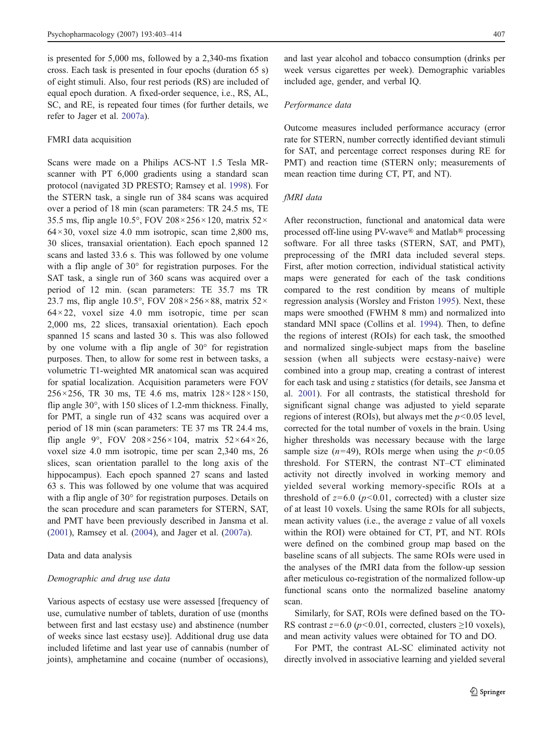is presented for 5,000 ms, followed by a 2,340-ms fixation cross. Each task is presented in four epochs (duration 65 s) of eight stimuli. Also, four rest periods (RS) are included of equal epoch duration. A fixed-order sequence, i.e., RS, AL, SC, and RE, is repeated four times (for further details, we refer to Jager et al. [2007a](#page-11-0)).

#### FMRI data acquisition

Scans were made on a Philips ACS-NT 1.5 Tesla MRscanner with PT 6,000 gradients using a standard scan protocol (navigated 3D PRESTO; Ramsey et al. [1998\)](#page-11-0). For the STERN task, a single run of 384 scans was acquired over a period of 18 min (scan parameters: TR 24.5 ms, TE 35.5 ms, flip angle 10.5°, FOV 208×256×120, matrix 52×  $64 \times 30$ , voxel size 4.0 mm isotropic, scan time 2,800 ms, 30 slices, transaxial orientation). Each epoch spanned 12 scans and lasted 33.6 s. This was followed by one volume with a flip angle of 30° for registration purposes. For the SAT task, a single run of 360 scans was acquired over a period of 12 min. (scan parameters: TE 35.7 ms TR 23.7 ms, flip angle 10.5°, FOV 208×256×88, matrix 52×  $64 \times 22$ , voxel size 4.0 mm isotropic, time per scan 2,000 ms, 22 slices, transaxial orientation). Each epoch spanned 15 scans and lasted 30 s. This was also followed by one volume with a flip angle of 30° for registration purposes. Then, to allow for some rest in between tasks, a volumetric T1-weighted MR anatomical scan was acquired for spatial localization. Acquisition parameters were FOV  $256 \times 256$ , TR 30 ms, TE 4.6 ms, matrix  $128 \times 128 \times 150$ , flip angle 30°, with 150 slices of 1.2-mm thickness. Finally, for PMT, a single run of 432 scans was acquired over a period of 18 min (scan parameters: TE 37 ms TR 24.4 ms, flip angle 9°, FOV 208×256×104, matrix 52×64×26, voxel size 4.0 mm isotropic, time per scan 2,340 ms, 26 slices, scan orientation parallel to the long axis of the hippocampus). Each epoch spanned 27 scans and lasted 63 s. This was followed by one volume that was acquired with a flip angle of 30° for registration purposes. Details on the scan procedure and scan parameters for STERN, SAT, and PMT have been previously described in Jansma et al. [\(2001](#page-11-0)), Ramsey et al. ([2004\)](#page-11-0), and Jager et al. ([2007a](#page-11-0)).

Data and data analysis

## Demographic and drug use data

Various aspects of ecstasy use were assessed [frequency of use, cumulative number of tablets, duration of use (months between first and last ecstasy use) and abstinence (number of weeks since last ecstasy use)]. Additional drug use data included lifetime and last year use of cannabis (number of joints), amphetamine and cocaine (number of occasions), and last year alcohol and tobacco consumption (drinks per week versus cigarettes per week). Demographic variables included age, gender, and verbal IQ.

## Performance data

Outcome measures included performance accuracy (error rate for STERN, number correctly identified deviant stimuli for SAT, and percentage correct responses during RE for PMT) and reaction time (STERN only; measurements of mean reaction time during CT, PT, and NT).

#### fMRI data

After reconstruction, functional and anatomical data were processed off-line using PV-wave® and Matlab® processing software. For all three tasks (STERN, SAT, and PMT), preprocessing of the fMRI data included several steps. First, after motion correction, individual statistical activity maps were generated for each of the task conditions compared to the rest condition by means of multiple regression analysis (Worsley and Friston [1995\)](#page-11-0). Next, these maps were smoothed (FWHM 8 mm) and normalized into standard MNI space (Collins et al. [1994\)](#page-10-0). Then, to define the regions of interest (ROIs) for each task, the smoothed and normalized single-subject maps from the baseline session (when all subjects were ecstasy-naive) were combined into a group map, creating a contrast of interest for each task and using z statistics (for details, see Jansma et al. [2001](#page-11-0)). For all contrasts, the statistical threshold for significant signal change was adjusted to yield separate regions of interest (ROIs), but always met the  $p<0.05$  level, corrected for the total number of voxels in the brain. Using higher thresholds was necessary because with the large sample size ( $n=49$ ), ROIs merge when using the  $p<0.05$ threshold. For STERN, the contrast NT–CT eliminated activity not directly involved in working memory and yielded several working memory-specific ROIs at a threshold of  $z=6.0$  ( $p<0.01$ , corrected) with a cluster size of at least 10 voxels. Using the same ROIs for all subjects, mean activity values (i.e., the average z value of all voxels within the ROI) were obtained for CT, PT, and NT. ROIs were defined on the combined group map based on the baseline scans of all subjects. The same ROIs were used in the analyses of the fMRI data from the follow-up session after meticulous co-registration of the normalized follow-up functional scans onto the normalized baseline anatomy scan.

Similarly, for SAT, ROIs were defined based on the TO-RS contrast  $z=6.0$  ( $p<0.01$ , corrected, clusters  $\geq 10$  voxels), and mean activity values were obtained for TO and DO.

For PMT, the contrast AL-SC eliminated activity not directly involved in associative learning and yielded several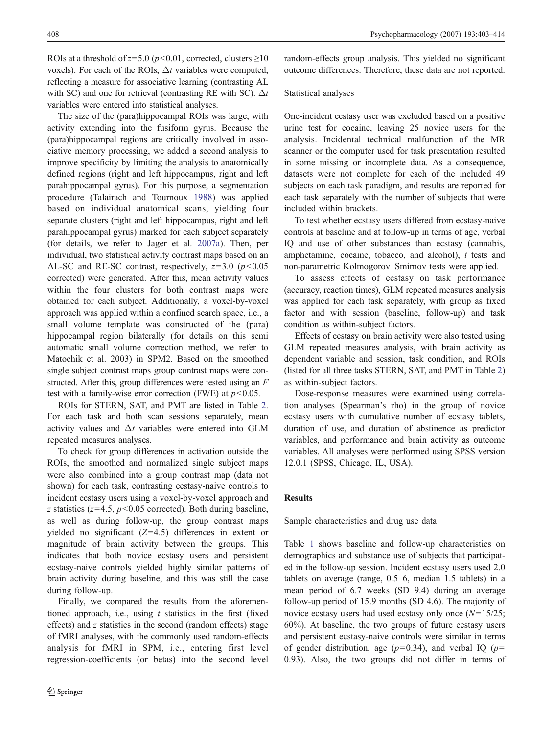ROIs at a threshold of  $z=5.0$  ( $p<0.01$ , corrected, clusters >10 voxels). For each of the ROIs,  $\Delta t$  variables were computed, reflecting a measure for associative learning (contrasting AL with SC) and one for retrieval (contrasting RE with SC).  $\Delta t$ variables were entered into statistical analyses.

The size of the (para)hippocampal ROIs was large, with activity extending into the fusiform gyrus. Because the (para)hippocampal regions are critically involved in associative memory processing, we added a second analysis to improve specificity by limiting the analysis to anatomically defined regions (right and left hippocampus, right and left parahippocampal gyrus). For this purpose, a segmentation procedure (Talairach and Tournoux [1988\)](#page-11-0) was applied based on individual anatomical scans, yielding four separate clusters (right and left hippocampus, right and left parahippocampal gyrus) marked for each subject separately (for details, we refer to Jager et al. [2007a](#page-11-0)). Then, per individual, two statistical activity contrast maps based on an AL-SC and RE-SC contrast, respectively,  $z=3.0$  ( $p<0.05$ ) corrected) were generated. After this, mean activity values within the four clusters for both contrast maps were obtained for each subject. Additionally, a voxel-by-voxel approach was applied within a confined search space, i.e., a small volume template was constructed of the (para) hippocampal region bilaterally (for details on this semi automatic small volume correction method, we refer to Matochik et al. 2003) in SPM2. Based on the smoothed single subject contrast maps group contrast maps were constructed. After this, group differences were tested using an  $F$ test with a family-wise error correction (FWE) at  $p<0.05$ .

ROIs for STERN, SAT, and PMT are listed in Table [2.](#page-7-0) For each task and both scan sessions separately, mean activity values and  $\Delta t$  variables were entered into GLM repeated measures analyses.

To check for group differences in activation outside the ROIs, the smoothed and normalized single subject maps were also combined into a group contrast map (data not shown) for each task, contrasting ecstasy-naive controls to incident ecstasy users using a voxel-by-voxel approach and z statistics ( $z=4.5$ ,  $p<0.05$  corrected). Both during baseline, as well as during follow-up, the group contrast maps yielded no significant  $(Z=4.5)$  differences in extent or magnitude of brain activity between the groups. This indicates that both novice ecstasy users and persistent ecstasy-naive controls yielded highly similar patterns of brain activity during baseline, and this was still the case during follow-up.

Finally, we compared the results from the aforementioned approach, i.e., using  $t$  statistics in the first (fixed effects) and z statistics in the second (random effects) stage of fMRI analyses, with the commonly used random-effects analysis for fMRI in SPM, i.e., entering first level regression-coefficients (or betas) into the second level

random-effects group analysis. This yielded no significant outcome differences. Therefore, these data are not reported.

#### Statistical analyses

One-incident ecstasy user was excluded based on a positive urine test for cocaine, leaving 25 novice users for the analysis. Incidental technical malfunction of the MR scanner or the computer used for task presentation resulted in some missing or incomplete data. As a consequence, datasets were not complete for each of the included 49 subjects on each task paradigm, and results are reported for each task separately with the number of subjects that were included within brackets.

To test whether ecstasy users differed from ecstasy-naive controls at baseline and at follow-up in terms of age, verbal IQ and use of other substances than ecstasy (cannabis, amphetamine, cocaine, tobacco, and alcohol), t tests and non-parametric Kolmogorov–Smirnov tests were applied.

To assess effects of ecstasy on task performance (accuracy, reaction times), GLM repeated measures analysis was applied for each task separately, with group as fixed factor and with session (baseline, follow-up) and task condition as within-subject factors.

Effects of ecstasy on brain activity were also tested using GLM repeated measures analysis, with brain activity as dependent variable and session, task condition, and ROIs (listed for all three tasks STERN, SAT, and PMT in Table [2](#page-7-0)) as within-subject factors.

Dose-response measures were examined using correlation analyses (Spearman's rho) in the group of novice ecstasy users with cumulative number of ecstasy tablets, duration of use, and duration of abstinence as predictor variables, and performance and brain activity as outcome variables. All analyses were performed using SPSS version 12.0.1 (SPSS, Chicago, IL, USA).

## Results

Sample characteristics and drug use data

Table [1](#page-6-0) shows baseline and follow-up characteristics on demographics and substance use of subjects that participated in the follow-up session. Incident ecstasy users used 2.0 tablets on average (range, 0.5–6, median 1.5 tablets) in a mean period of 6.7 weeks (SD 9.4) during an average follow-up period of 15.9 months (SD 4.6). The majority of novice ecstasy users had used ecstasy only once  $(N=15/25)$ ; 60%). At baseline, the two groups of future ecstasy users and persistent ecstasy-naive controls were similar in terms of gender distribution, age ( $p=0.34$ ), and verbal IQ ( $p=$ 0.93). Also, the two groups did not differ in terms of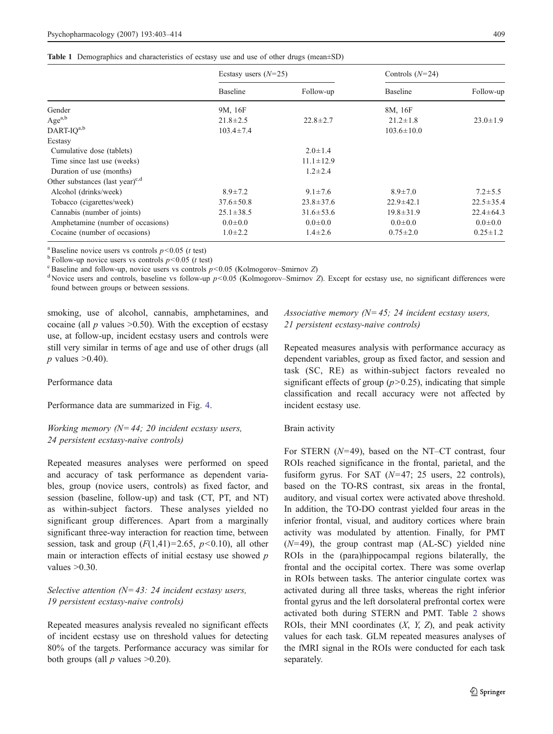<span id="page-6-0"></span>

|  | Table 1 Demographics and characteristics of ecstasy use and use of other drugs (mean±SD) |  |  |  |  |  |
|--|------------------------------------------------------------------------------------------|--|--|--|--|--|
|--|------------------------------------------------------------------------------------------|--|--|--|--|--|

|                                             | Ecstasy users $(N=25)$ |                 | Controls $(N=24)$ |                 |
|---------------------------------------------|------------------------|-----------------|-------------------|-----------------|
|                                             | <b>Baseline</b>        | Follow-up       | <b>Baseline</b>   | Follow-up       |
| Gender                                      | 9M, 16F                |                 | 8M, 16F           |                 |
| Age $a,b$                                   | $21.8 \pm 2.5$         | $22.8 \pm 2.7$  | $21.2 \pm 1.8$    | $23.0 \pm 1.9$  |
| $\text{DART-IQ}^{\text{a},\text{b}}$        | $103.4 \pm 7.4$        |                 | $103.6 \pm 10.0$  |                 |
| Ecstasy                                     |                        |                 |                   |                 |
| Cumulative dose (tablets)                   |                        | $2.0 \pm 1.4$   |                   |                 |
| Time since last use (weeks)                 |                        | $11.1 \pm 12.9$ |                   |                 |
| Duration of use (months)                    |                        | $1.2 \pm 2.4$   |                   |                 |
| Other substances (last year) <sup>c,d</sup> |                        |                 |                   |                 |
| Alcohol (drinks/week)                       | $8.9 \pm 7.2$          | $9.1 \pm 7.6$   | $8.9 \pm 7.0$     | $7.2 \pm 5.5$   |
| Tobacco (cigarettes/week)                   | $37.6 \pm 50.8$        | $23.8 \pm 37.6$ | $22.9 \pm 42.1$   | $22.5 \pm 35.4$ |
| Cannabis (number of joints)                 | $25.1 \pm 38.5$        | $31.6 \pm 53.6$ | $19.8 \pm 31.9$   | $22.4 \pm 64.3$ |
| Amphetamine (number of occasions)           | $0.0{\pm}0.0$          | $0.0{\pm}0.0$   | $0.0{\pm}0.0$     | $0.0{\pm}0.0$   |
| Cocaine (number of occasions)               | $1.0 \pm 2.2$          | $1.4 \pm 2.6$   | $0.75 \pm 2.0$    | $0.25 \pm 1.2$  |

<sup>a</sup> Baseline novice users vs controls  $p<0.05$  (*t* test)<br><sup>b</sup> Follow-up novice users vs controls  $p<0.05$  (*t* test)<br><sup>c</sup> Baseline and follow-up, novice users vs controls  $p<0.05$  (Kolmogorov–Smirnov Z)<br><sup>d</sup> Novice users an found between groups or between sessions.

smoking, use of alcohol, cannabis, amphetamines, and cocaine (all  $p$  values  $>0.50$ ). With the exception of ecstasy use, at follow-up, incident ecstasy users and controls were still very similar in terms of age and use of other drugs (all  $p$  values  $>0.40$ ).

Performance data

Performance data are summarized in Fig. [4](#page-7-0).

Working memory ( $N=44$ ; 20 incident ecstasy users, 24 persistent ecstasy-naive controls)

Repeated measures analyses were performed on speed and accuracy of task performance as dependent variables, group (novice users, controls) as fixed factor, and session (baseline, follow-up) and task (CT, PT, and NT) as within-subject factors. These analyses yielded no significant group differences. Apart from a marginally significant three-way interaction for reaction time, between session, task and group  $(F(1,41)=2.65, p<0.10)$ , all other main or interaction effects of initial ecstasy use showed  $p$ values  $>0.30$ .

Selective attention  $(N=43: 24$  incident ecstasy users, 19 persistent ecstasy-naive controls)

Repeated measures analysis revealed no significant effects of incident ecstasy use on threshold values for detecting 80% of the targets. Performance accuracy was similar for both groups (all  $p$  values  $>0.20$ ).

Associative memory ( $N=45$ ; 24 incident ecstasy users, 21 persistent ecstasy-naive controls)

Repeated measures analysis with performance accuracy as dependent variables, group as fixed factor, and session and task (SC, RE) as within-subject factors revealed no significant effects of group  $(p>0.25)$ , indicating that simple classification and recall accuracy were not affected by incident ecstasy use.

#### Brain activity

For STERN  $(N=49)$ , based on the NT–CT contrast, four ROIs reached significance in the frontal, parietal, and the fusiform gyrus. For SAT  $(N=47; 25$  users, 22 controls), based on the TO-RS contrast, six areas in the frontal, auditory, and visual cortex were activated above threshold. In addition, the TO-DO contrast yielded four areas in the inferior frontal, visual, and auditory cortices where brain activity was modulated by attention. Finally, for PMT  $(N=49)$ , the group contrast map  $(AL-SC)$  yielded nine ROIs in the (para)hippocampal regions bilaterally, the frontal and the occipital cortex. There was some overlap in ROIs between tasks. The anterior cingulate cortex was activated during all three tasks, whereas the right inferior frontal gyrus and the left dorsolateral prefrontal cortex were activated both during STERN and PMT. Table [2](#page-7-0) shows ROIs, their MNI coordinates  $(X, Y, Z)$ , and peak activity values for each task. GLM repeated measures analyses of the fMRI signal in the ROIs were conducted for each task separately.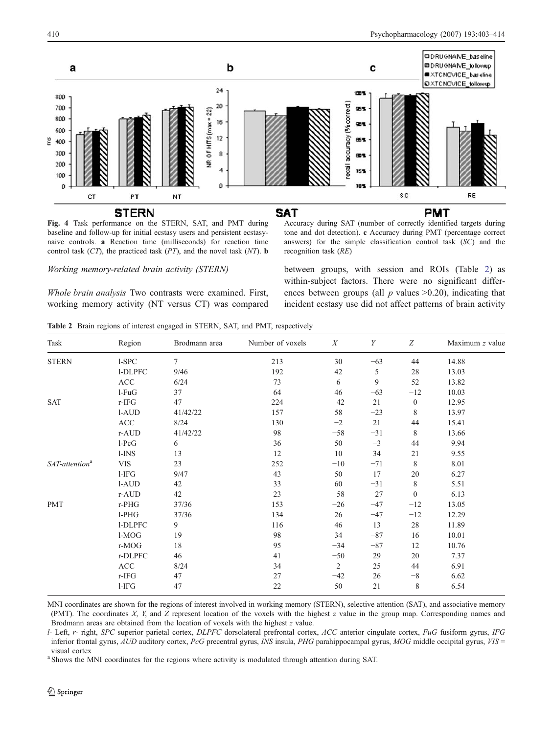<span id="page-7-0"></span>

Fig. 4 Task performance on the STERN, SAT, and PMT during baseline and follow-up for initial ecstasy users and persistent ecstasynaive controls. a Reaction time (milliseconds) for reaction time control task  $(CT)$ , the practiced task  $(PT)$ , and the novel task  $(NT)$ . **b** 

#### Working memory-related brain activity (STERN)

Whole brain analysis Two contrasts were examined. First, working memory activity (NT versus CT) was compared Accuracy during SAT (number of correctly identified targets during tone and dot detection). c Accuracy during PMT (percentage correct answers) for the simple classification control task (SC) and the recognition task (RE)

between groups, with session and ROIs (Table 2) as within-subject factors. There were no significant differences between groups (all  $p$  values  $>0.20$ ), indicating that incident ecstasy use did not affect patterns of brain activity

Table 2 Brain regions of interest engaged in STERN, SAT, and PMT, respectively

| Task                       | Region      | Brodmann area  | Number of voxels | X              | Y     | Z                | Maximum z value |
|----------------------------|-------------|----------------|------------------|----------------|-------|------------------|-----------------|
| <b>STERN</b>               | $1-SPC$     | $\overline{7}$ | 213              | 30             | $-63$ | 44               | 14.88           |
|                            | 1-DLPFC     | 9/46           | 192              | 42             | 5     | 28               | 13.03           |
|                            | ACC         | 6/24           | 73               | 6              | 9     | 52               | 13.82           |
|                            | $l$ - $FuG$ | 37             | 64               | 46             | $-63$ | $-12$            | 10.03           |
| <b>SAT</b>                 | r-IFG       | 47             | 224              | $-42$          | 21    | $\boldsymbol{0}$ | 12.95           |
|                            | 1-AUD       | 41/42/22       | 157              | 58             | $-23$ | 8                | 13.97           |
|                            | <b>ACC</b>  | 8/24           | 130              | $-2$           | 21    | 44               | 15.41           |
|                            | r-AUD       | 41/42/22       | 98               | $-58$          | $-31$ | 8                | 13.66           |
|                            | $l$ -Pc $G$ | 6              | 36               | 50             | $-3$  | 44               | 9.94            |
|                            | $1-INS$     | 13             | 12               | 10             | 34    | 21               | 9.55            |
| SAT-attention <sup>a</sup> | <b>VIS</b>  | 23             | 252              | $-10$          | $-71$ | 8                | 8.01            |
|                            | $l-IFG$     | 9/47           | 43               | 50             | 17    | 20               | 6.27            |
|                            | l-AUD       | 42             | 33               | 60             | $-31$ | 8                | 5.51            |
|                            | r-AUD       | 42             | 23               | $-58$          | $-27$ | $\mathbf{0}$     | 6.13            |
| <b>PMT</b>                 | r-PHG       | 37/36          | 153              | $-26$          | $-47$ | $-12$            | 13.05           |
|                            | $1-PHG$     | 37/36          | 134              | 26             | $-47$ | $-12$            | 12.29           |
|                            | 1-DLPFC     | 9              | 116              | 46             | 13    | 28               | 11.89           |
|                            | $1-MOG$     | 19             | 98               | 34             | $-87$ | 16               | 10.01           |
|                            | r-MOG       | 18             | 95               | $-34$          | $-87$ | 12               | 10.76           |
|                            | r-DLPFC     | 46             | 41               | $-50$          | 29    | 20               | 7.37            |
|                            | <b>ACC</b>  | 8/24           | 34               | $\overline{2}$ | 25    | 44               | 6.91            |
|                            | r-IFG       | 47             | 27               | $-42$          | 26    | $-8$             | 6.62            |
|                            | $l-IFG$     | 47             | $22\,$           | 50             | 21    | $-8$             | 6.54            |

MNI coordinates are shown for the regions of interest involved in working memory (STERN), selective attention (SAT), and associative memory (PMT). The coordinates X, Y, and Z represent location of the voxels with the highest z value in the group map. Corresponding names and Brodmann areas are obtained from the location of voxels with the highest z value.

l- Left, r- right, SPC superior parietal cortex, DLPFC dorsolateral prefrontal cortex, ACC anterior cingulate cortex, FuG fusiform gyrus, IFG inferior frontal gyrus, AUD auditory cortex, PcG precentral gyrus, INS insula, PHG parahippocampal gyrus, MOG middle occipital gyrus, VIS = visual cortex

<sup>a</sup> Shows the MNI coordinates for the regions where activity is modulated through attention during SAT.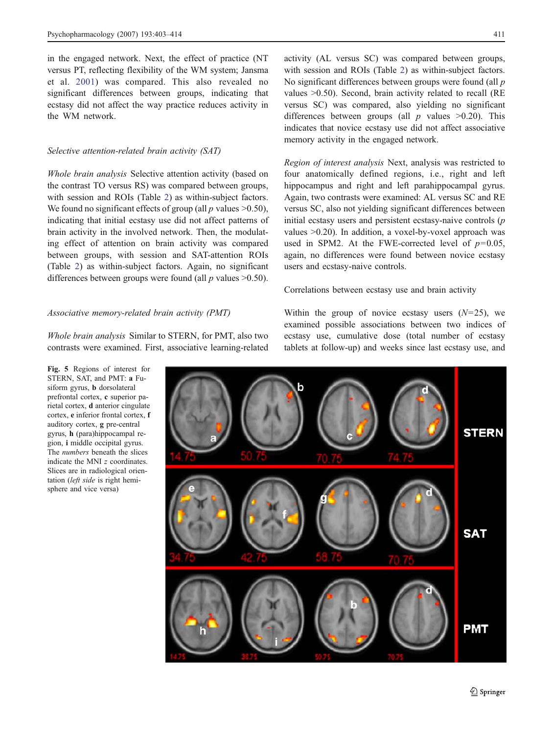<span id="page-8-0"></span>in the engaged network. Next, the effect of practice (NT versus PT, reflecting flexibility of the WM system; Jansma et al. [2001\)](#page-11-0) was compared. This also revealed no significant differences between groups, indicating that ecstasy did not affect the way practice reduces activity in the WM network.

## Selective attention-related brain activity (SAT)

Whole brain analysis Selective attention activity (based on the contrast TO versus RS) was compared between groups, with session and ROIs (Table [2](#page-7-0)) as within-subject factors. We found no significant effects of group (all  $p$  values  $\geq 0.50$ ), indicating that initial ecstasy use did not affect patterns of brain activity in the involved network. Then, the modulating effect of attention on brain activity was compared between groups, with session and SAT-attention ROIs (Table [2\)](#page-7-0) as within-subject factors. Again, no significant differences between groups were found (all  $p$  values  $>0.50$ ).

## Associative memory-related brain activity (PMT)

Whole brain analysis Similar to STERN, for PMT, also two contrasts were examined. First, associative learning-related

activity (AL versus SC) was compared between groups, with session and ROIs (Table [2](#page-7-0)) as within-subject factors. No significant differences between groups were found (all p values >0.50). Second, brain activity related to recall (RE versus SC) was compared, also yielding no significant differences between groups (all  $p$  values  $>0.20$ ). This indicates that novice ecstasy use did not affect associative memory activity in the engaged network.

Region of interest analysis Next, analysis was restricted to four anatomically defined regions, i.e., right and left hippocampus and right and left parahippocampal gyrus. Again, two contrasts were examined: AL versus SC and RE versus SC, also not yielding significant differences between initial ecstasy users and persistent ecstasy-naive controls (p values >0.20). In addition, a voxel-by-voxel approach was used in SPM2. At the FWE-corrected level of  $p=0.05$ , again, no differences were found between novice ecstasy users and ecstasy-naive controls.

Correlations between ecstasy use and brain activity

Within the group of novice ecstasy users  $(N=25)$ , we examined possible associations between two indices of ecstasy use, cumulative dose (total number of ecstasy tablets at follow-up) and weeks since last ecstasy use, and



Fig. 5 Regions of interest for STERN, SAT, and PMT: a Fusiform gyrus, b dorsolateral prefrontal cortex, c superior parietal cortex, d anterior cingulate cortex, e inferior frontal cortex, f auditory cortex, g pre-central gyrus, h (para)hippocampal region, i middle occipital gyrus. The numbers beneath the slices indicate the MNI z coordinates. Slices are in radiological orientation (left side is right hemisphere and vice versa)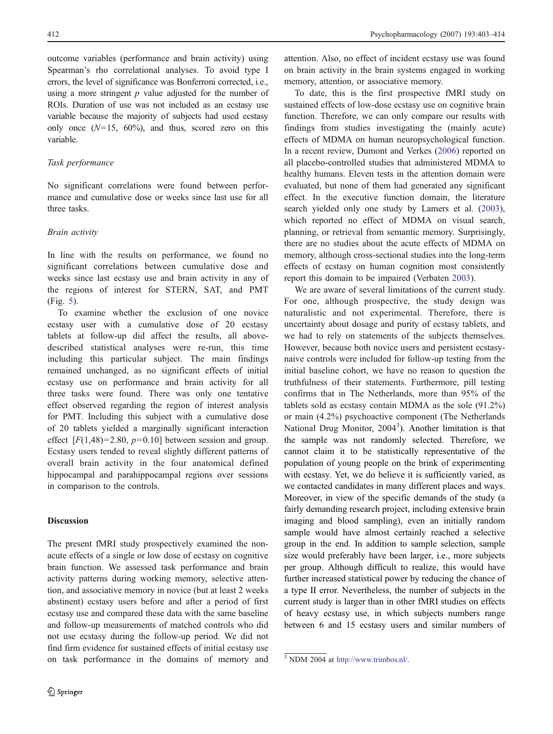outcome variables (performance and brain activity) using Spearman's rho correlational analyses. To avoid type I errors, the level of significance was Bonferroni corrected, i.e., using a more stringent  $p$  value adjusted for the number of ROIs. Duration of use was not included as an ecstasy use variable because the majority of subjects had used ecstasy only once  $(N=15, 60\%)$ , and thus, scored zero on this variable.

## Task performance

No significant correlations were found between performance and cumulative dose or weeks since last use for all three tasks.

## Brain activity

In line with the results on performance, we found no significant correlations between cumulative dose and weeks since last ecstasy use and brain activity in any of the regions of interest for STERN, SAT, and PMT (Fig. [5\)](#page-8-0).

To examine whether the exclusion of one novice ecstasy user with a cumulative dose of 20 ecstasy tablets at follow-up did affect the results, all abovedescribed statistical analyses were re-run, this time including this particular subject. The main findings remained unchanged, as no significant effects of initial ecstasy use on performance and brain activity for all three tasks were found. There was only one tentative effect observed regarding the region of interest analysis for PMT. Including this subject with a cumulative dose of 20 tablets yielded a marginally significant interaction effect  $[F(1,48)=2.80, p=0.10]$  between session and group. Ecstasy users tended to reveal slightly different patterns of overall brain activity in the four anatomical defined hippocampal and parahippocampal regions over sessions in comparison to the controls.

## Discussion

The present fMRI study prospectively examined the nonacute effects of a single or low dose of ecstasy on cognitive brain function. We assessed task performance and brain activity patterns during working memory, selective attention, and associative memory in novice (but at least 2 weeks abstinent) ecstasy users before and after a period of first ecstasy use and compared these data with the same baseline and follow-up measurements of matched controls who did not use ecstasy during the follow-up period. We did not find firm evidence for sustained effects of initial ecstasy use on task performance in the domains of memory and

attention. Also, no effect of incident ecstasy use was found on brain activity in the brain systems engaged in working memory, attention, or associative memory.

To date, this is the first prospective fMRI study on sustained effects of low-dose ecstasy use on cognitive brain function. Therefore, we can only compare our results with findings from studies investigating the (mainly acute) effects of MDMA on human neuropsychological function. In a recent review, Dumont and Verkes ([2006\)](#page-10-0) reported on all placebo-controlled studies that administered MDMA to healthy humans. Eleven tests in the attention domain were evaluated, but none of them had generated any significant effect. In the executive function domain, the literature search yielded only one study by Lamers et al. ([2003\)](#page-11-0), which reported no effect of MDMA on visual search, planning, or retrieval from semantic memory. Surprisingly, there are no studies about the acute effects of MDMA on memory, although cross-sectional studies into the long-term effects of ecstasy on human cognition most consistently report this domain to be impaired (Verbaten [2003](#page-11-0)).

We are aware of several limitations of the current study. For one, although prospective, the study design was naturalistic and not experimental. Therefore, there is uncertainty about dosage and purity of ecstasy tablets, and we had to rely on statements of the subjects themselves. However, because both novice users and persistent ecstasynaive controls were included for follow-up testing from the initial baseline cohort, we have no reason to question the truthfulness of their statements. Furthermore, pill testing confirms that in The Netherlands, more than 95% of the tablets sold as ecstasy contain MDMA as the sole (91.2%) or main (4.2%) psychoactive component (The Netherlands National Drug Monitor, 2004<sup>3</sup>). Another limitation is that the sample was not randomly selected. Therefore, we cannot claim it to be statistically representative of the population of young people on the brink of experimenting with ecstasy. Yet, we do believe it is sufficiently varied, as we contacted candidates in many different places and ways. Moreover, in view of the specific demands of the study (a fairly demanding research project, including extensive brain imaging and blood sampling), even an initially random sample would have almost certainly reached a selective group in the end. In addition to sample selection, sample size would preferably have been larger, i.e., more subjects per group. Although difficult to realize, this would have further increased statistical power by reducing the chance of a type II error. Nevertheless, the number of subjects in the current study is larger than in other fMRI studies on effects of heavy ecstasy use, in which subjects numbers range between 6 and 15 ecstasy users and similar numbers of

<sup>3</sup> NDM 2004 at [http://www.trimbos.nl/.](http://www.trimbos.nl/)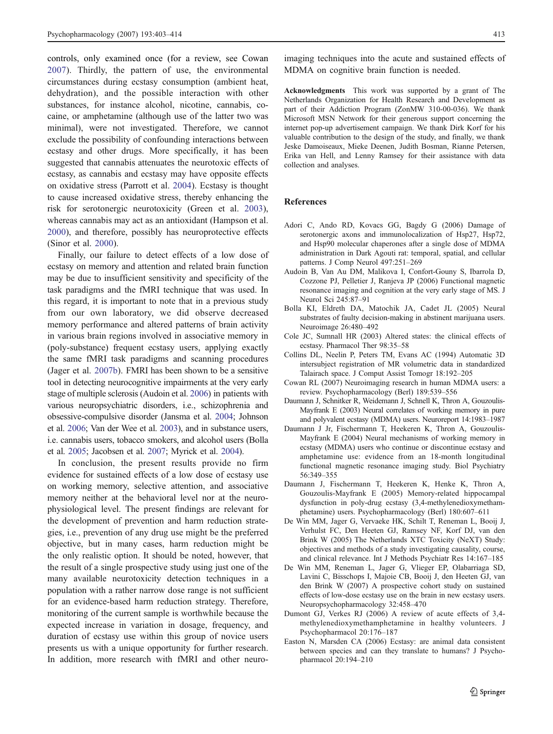<span id="page-10-0"></span>controls, only examined once (for a review, see Cowan 2007). Thirdly, the pattern of use, the environmental circumstances during ecstasy consumption (ambient heat, dehydration), and the possible interaction with other substances, for instance alcohol, nicotine, cannabis, cocaine, or amphetamine (although use of the latter two was minimal), were not investigated. Therefore, we cannot exclude the possibility of confounding interactions between ecstasy and other drugs. More specifically, it has been suggested that cannabis attenuates the neurotoxic effects of ecstasy, as cannabis and ecstasy may have opposite effects on oxidative stress (Parrott et al. [2004](#page-11-0)). Ecstasy is thought to cause increased oxidative stress, thereby enhancing the risk for serotonergic neurotoxicity (Green et al. [2003](#page-11-0)), whereas cannabis may act as an antioxidant (Hampson et al. [2000\)](#page-11-0), and therefore, possibly has neuroprotective effects (Sinor et al. [2000](#page-11-0)).

Finally, our failure to detect effects of a low dose of ecstasy on memory and attention and related brain function may be due to insufficient sensitivity and specificity of the task paradigms and the fMRI technique that was used. In this regard, it is important to note that in a previous study from our own laboratory, we did observe decreased memory performance and altered patterns of brain activity in various brain regions involved in associative memory in (poly-substance) frequent ecstasy users, applying exactly the same fMRI task paradigms and scanning procedures (Jager et al. [2007b\)](#page-11-0). FMRI has been shown to be a sensitive tool in detecting neurocognitive impairments at the very early stage of multiple sclerosis (Audoin et al. 2006) in patients with various neuropsychiatric disorders, i.e., schizophrenia and obsessive-compulsive disorder (Jansma et al. [2004](#page-11-0); Johnson et al. [2006](#page-11-0); Van der Wee et al. [2003\)](#page-11-0), and in substance users, i.e. cannabis users, tobacco smokers, and alcohol users (Bolla et al. 2005; Jacobsen et al. [2007](#page-11-0); Myrick et al. [2004\)](#page-11-0).

In conclusion, the present results provide no firm evidence for sustained effects of a low dose of ecstasy use on working memory, selective attention, and associative memory neither at the behavioral level nor at the neurophysiological level. The present findings are relevant for the development of prevention and harm reduction strategies, i.e., prevention of any drug use might be the preferred objective, but in many cases, harm reduction might be the only realistic option. It should be noted, however, that the result of a single prospective study using just one of the many available neurotoxicity detection techniques in a population with a rather narrow dose range is not sufficient for an evidence-based harm reduction strategy. Therefore, monitoring of the current sample is worthwhile because the expected increase in variation in dosage, frequency, and duration of ecstasy use within this group of novice users presents us with a unique opportunity for further research. In addition, more research with fMRI and other neuro-

imaging techniques into the acute and sustained effects of MDMA on cognitive brain function is needed.

Acknowledgments This work was supported by a grant of The Netherlands Organization for Health Research and Development as part of their Addiction Program (ZonMW 310-00-036). We thank Microsoft MSN Network for their generous support concerning the internet pop-up advertisement campaign. We thank Dirk Korf for his valuable contribution to the design of the study, and finally, we thank Jeske Damoiseaux, Mieke Deenen, Judith Bosman, Rianne Petersen, Erika van Hell, and Lenny Ramsey for their assistance with data collection and analyses.

# References

- Adori C, Ando RD, Kovacs GG, Bagdy G (2006) Damage of serotonergic axons and immunolocalization of Hsp27, Hsp72, and Hsp90 molecular chaperones after a single dose of MDMA administration in Dark Agouti rat: temporal, spatial, and cellular patterns. J Comp Neurol 497:251–269
- Audoin B, Van Au DM, Malikova I, Confort-Gouny S, Ibarrola D, Cozzone PJ, Pelletier J, Ranjeva JP (2006) Functional magnetic resonance imaging and cognition at the very early stage of MS. J Neurol Sci 245:87–91
- Bolla KI, Eldreth DA, Matochik JA, Cadet JL (2005) Neural substrates of faulty decision-making in abstinent marijuana users. Neuroimage 26:480–492
- Cole JC, Sumnall HR (2003) Altered states: the clinical effects of ecstasy. Pharmacol Ther 98:35–58
- Collins DL, Neelin P, Peters TM, Evans AC (1994) Automatic 3D intersubject registration of MR volumetric data in standardized Talairach space. J Comput Assist Tomogr 18:192–205
- Cowan RL (2007) Neuroimaging research in human MDMA users: a review. Psychopharmacology (Berl) 189:539–556
- Daumann J, Schnitker R, Weidemann J, Schnell K, Thron A, Gouzoulis-Mayfrank E (2003) Neural correlates of working memory in pure and polyvalent ecstasy (MDMA) users. Neuroreport 14:1983–1987
- Daumann J Jr, Fischermann T, Heekeren K, Thron A, Gouzoulis-Mayfrank E (2004) Neural mechanisms of working memory in ecstasy (MDMA) users who continue or discontinue ecstasy and amphetamine use: evidence from an 18-month longitudinal functional magnetic resonance imaging study. Biol Psychiatry 56:349–355
- Daumann J, Fischermann T, Heekeren K, Henke K, Thron A, Gouzoulis-Mayfrank E (2005) Memory-related hippocampal dysfunction in poly-drug ecstasy (3,4-methylenedioxymethamphetamine) users. Psychopharmacology (Berl) 180:607–611
- De Win MM, Jager G, Vervaeke HK, Schilt T, Reneman L, Booij J, Verhulst FC, Den Heeten GJ, Ramsey NF, Korf DJ, van den Brink W (2005) The Netherlands XTC Toxicity (NeXT) Study: objectives and methods of a study investigating causality, course, and clinical relevance. Int J Methods Psychiatr Res 14:167–185
- De Win MM, Reneman L, Jager G, Vlieger EP, Olabarriaga SD, Lavini C, Bisschops I, Majoie CB, Booij J, den Heeten GJ, van den Brink W (2007) A prospective cohort study on sustained effects of low-dose ecstasy use on the brain in new ecstasy users. Neuropsychopharmacology 32:458–470
- Dumont GJ, Verkes RJ (2006) A review of acute effects of 3,4 methylenedioxymethamphetamine in healthy volunteers. J Psychopharmacol 20:176–187
- Easton N, Marsden CA (2006) Ecstasy: are animal data consistent between species and can they translate to humans? J Psychopharmacol 20:194–210